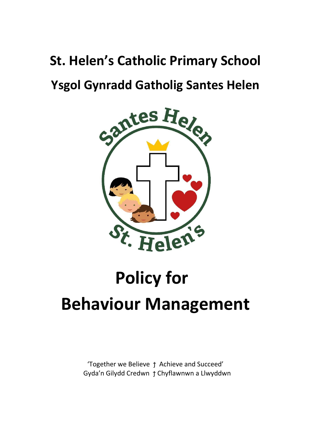## **St. Helen's Catholic Primary School**

### **Ysgol Gynradd Gatholig Santes Helen**



# **Policy for Behaviour Management**

'Together we Believe ϯ Achieve and Succeed' Gyda'n Gilydd Credwn ϯ Chyflawnwn a Llwyddwn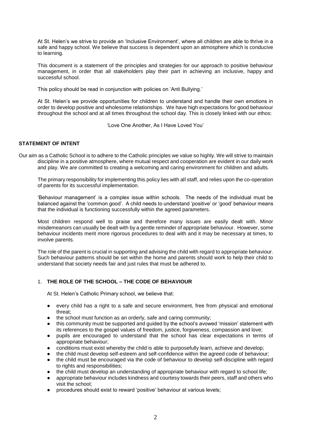At St. Helen's we strive to provide an 'Inclusive Environment', where all children are able to thrive in a safe and happy school. We believe that success is dependent upon an atmosphere which is conducive to learning.

This document is a statement of the principles and strategies for our approach to positive behaviour management, in order that all stakeholders play their part in achieving an inclusive, happy and successful school.

This policy should be read in conjunction with policies on 'Anti Bullying.'

At St. Helen's we provide opportunities for children to understand and handle their own emotions in order to develop positive and wholesome relationships. We have high expectations for good behaviour throughout the school and at all times throughout the school day. This is closely linked with our ethos:

'Love One Another, As I Have Loved You'

#### **STATEMENT OF INTENT**

Our aim as a Catholic School is to adhere to the Catholic principles we value so highly. We will strive to maintain discipline in a positive atmosphere, where mutual respect and cooperation are evident in our daily work and play. We are committed to creating a welcoming and caring environment for children and adults.

The primary responsibility for implementing this policy lies with all staff, and relies upon the co-operation of parents for its successful implementation.

'Behaviour management' is a complex issue within schools. The needs of the individual must be balanced against the 'common good'. A child needs to understand 'positive' or 'good' behaviour means that the individual is functioning successfully within the agreed parameters.

Most children respond well to praise and therefore many issues are easily dealt with. Minor misdemeanors can usually be dealt with by a gentle reminder of appropriate behaviour. However, some behaviour incidents merit more rigorous procedures to deal with and it may be necessary at times, to involve parents.

The role of the parent is crucial in supporting and advising the child with regard to appropriate behaviour. Such behaviour patterns should be set within the home and parents should work to help their child to understand that society needs fair and just rules that must be adhered to.

#### 1. **THE ROLE OF THE SCHOOL – THE CODE OF BEHAVIOUR**

At St. Helen's Catholic Primary school, we believe that:

- every child has a right to a safe and secure environment, free from physical and emotional threat;
- the school must function as an orderly, safe and caring community;
- this community must be supported and guided by the school's avowed 'mission' statement with its references to the gospel values of freedom, justice, forgiveness, compassion and love;
- pupils are encouraged to understand that the school has clear expectations in terms of appropriate behaviour;
- conditions must exist whereby the child is able to purposefully learn, achieve and develop;
- the child must develop self-esteem and self-confidence within the agreed code of behaviour;
- the child must be encouraged via the code of behaviour to develop self-discipline with regard to rights and responsibilities:
- the child must develop an understanding of appropriate behaviour with regard to school life;
- appropriate behaviour includes kindness and courtesy towards their peers, staff and others who visit the school;
- procedures should exist to reward 'positive' behaviour at various levels;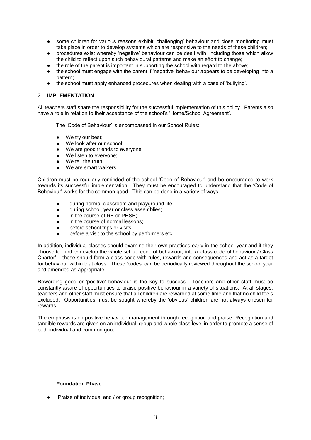- some children for various reasons exhibit 'challenging' behaviour and close monitoring must take place in order to develop systems which are responsive to the needs of these children;
- procedures exist whereby 'negative' behaviour can be dealt with, including those which allow the child to reflect upon such behavioural patterns and make an effort to change;
- the role of the parent is important in supporting the school with regard to the above;
- the school must engage with the parent if 'negative' behaviour appears to be developing into a pattern;
- the school must apply enhanced procedures when dealing with a case of 'bullying'.

#### 2. **IMPLEMENTATION**

All teachers staff share the responsibility for the successful implementation of this policy. Parents also have a role in relation to their acceptance of the school's 'Home/School Agreement'.

The 'Code of Behaviour' is encompassed in our School Rules:

- We try our best;
- We look after our school;
- We are good friends to everyone;
- We listen to everyone:
- We tell the truth:
- We are smart walkers.

Children must be regularly reminded of the school 'Code of Behaviour' and be encouraged to work towards its successful implementation. They must be encouraged to understand that the 'Code of Behaviour' works for the common good. This can be done in a variety of ways:

- during normal classroom and playground life;
- during school, year or class assemblies;
- in the course of RE or PHSE:
- in the course of normal lessons:
- before school trips or visits;
- before a visit to the school by performers etc.

In addition, individual classes should examine their own practices early in the school year and if they choose to, further develop the whole school code of behaviour, into a 'class code of behaviour / Class Charter' – these should form a class code with rules, rewards and consequences and act as a target for behaviour within that class. These 'codes' can be periodically reviewed throughout the school year and amended as appropriate.

Rewarding good or 'positive' behaviour is the key to success. Teachers and other staff must be constantly aware of opportunities to praise positive behaviour in a variety of situations. At all stages, teachers and other staff must ensure that all children are rewarded at some time and that no child feels excluded. Opportunities must be sought whereby the 'obvious' children are not always chosen for rewards.

The emphasis is on positive behaviour management through recognition and praise. Recognition and tangible rewards are given on an individual, group and whole class level in order to promote a sense of both individual and common good.

#### **Foundation Phase**

Praise of individual and / or group recognition;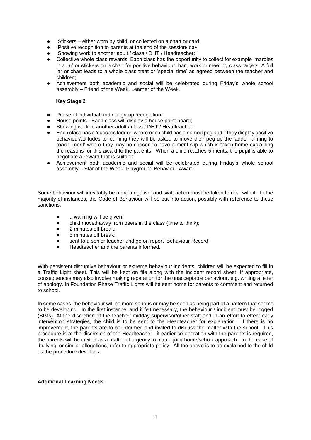- Stickers either worn by child, or collected on a chart or card;
- Positive recognition to parents at the end of the session/ day:
- Showing work to another adult / class / DHT / Headteacher;
- Collective whole class rewards: Each class has the opportunity to collect for example 'marbles in a jar' or stickers on a chart for positive behaviour, hard work or meeting class targets. A full jar or chart leads to a whole class treat or 'special time' as agreed between the teacher and children;
- Achievement both academic and social will be celebrated during Friday's whole school assembly – Friend of the Week, Learner of the Week.

#### **Key Stage 2**

- Praise of individual and / or group recognition;
- House points Each class will display a house point board;
- Showing work to another adult / class / DHT / Headteacher;
- Each class has a 'success ladder' where each child has a named peg and if they display positive behaviour/attitudes to learning they will be asked to move their peg up the ladder, aiming to reach 'merit' where they may be chosen to have a merit slip which is taken home explaining the reasons for this award to the parents. When a child reaches 5 merits, the pupil is able to negotiate a reward that is suitable;
- Achievement both academic and social will be celebrated during Friday's whole school assembly – Star of the Week, Playground Behaviour Award.

Some behaviour will inevitably be more 'negative' and swift action must be taken to deal with it. In the majority of instances, the Code of Behaviour will be put into action, possibly with reference to these sanctions:

- a warning will be given;
- child moved away from peers in the class (time to think);
- 2 minutes off break:
- 5 minutes off break:
- sent to a senior teacher and go on report 'Behaviour Record';
- Headteacher and the parents informed.

With persistent disruptive behaviour or extreme behaviour incidents, children will be expected to fill in a Traffic Light sheet. This will be kept on file along with the incident record sheet. If appropriate, consequences may also involve making reparation for the unacceptable behaviour, e.g. writing a letter of apology. In Foundation Phase Traffic Lights will be sent home for parents to comment and returned to school.

In some cases, the behaviour will be more serious or may be seen as being part of a pattern that seems to be developing. In the first instance, and if felt necessary, the behaviour / incident must be logged (SIMs). At the discretion of the teacher/ midday supervisor/other staff and in an effort to effect early intervention strategies, the child is to be sent to the Headteacher for explanation. If there is no improvement, the parents are to be informed and invited to discuss the matter with the school. This procedure is at the discretion of the Headteacher– if earlier co-operation with the parents is required, the parents will be invited as a matter of urgency to plan a joint home/school approach. In the case of 'bullying' or similar allegations, refer to appropriate policy. All the above is to be explained to the child as the procedure develops.

#### **Additional Learning Needs**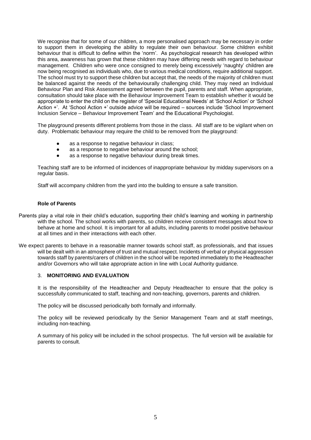We recognise that for some of our children, a more personalised approach may be necessary in order to support them in developing the ability to regulate their own behaviour. Some children exhibit behaviour that is difficult to define within the 'norm'. As psychological research has developed within this area, awareness has grown that these children may have differing needs with regard to behaviour management. Children who were once consigned to merely being excessively 'naughty' children are now being recognised as individuals who, due to various medical conditions, require additional support. The school must try to support these children but accept that, the needs of the majority of children must be balanced against the needs of the behaviourally challenging child. They may need an Individual Behaviour Plan and Risk Assessment agreed between the pupil, parents and staff. When appropriate, consultation should take place with the Behaviour Improvement Team to establish whether it would be appropriate to enter the child on the register of 'Special Educational Needs' at 'School Action' or 'School Action +'. At 'School Action +' outside advice will be required – sources include 'School Improvement Inclusion Service – Behaviour Improvement Team' and the Educational Psychologist.

The playground presents different problems from those in the class. All staff are to be vigilant when on duty. Problematic behaviour may require the child to be removed from the playground:

- as a response to negative behaviour in class;
- as a response to negative behaviour around the school;
- as a response to negative behaviour during break times.

Teaching staff are to be informed of incidences of inappropriate behaviour by midday supervisors on a regular basis.

Staff will accompany children from the yard into the building to ensure a safe transition.

#### **Role of Parents**

- Parents play a vital role in their child's education, supporting their child's learning and working in partnership with the school. The school works with parents, so children receive consistent messages about how to behave at home and school. It is important for all adults, including parents to model positive behaviour at all times and in their interactions with each other.
- We expect parents to behave in a reasonable manner towards school staff, as professionals, and that issues will be dealt with in an atmosphere of trust and mutual respect. Incidents of verbal or physical aggression towards staff by parents/carers of children in the school will be reported immediately to the Headteacher and/or Governors who will take appropriate action in line with Local Authority guidance.

#### 3. **MONITORING AND EVALUATION**

It is the responsibility of the Headteacher and Deputy Headteacher to ensure that the policy is successfully communicated to staff, teaching and non-teaching, governors, parents and children.

The policy will be discussed periodically both formally and informally.

The policy will be reviewed periodically by the Senior Management Team and at staff meetings, including non-teaching.

A summary of his policy will be included in the school prospectus. The full version will be available for parents to consult.